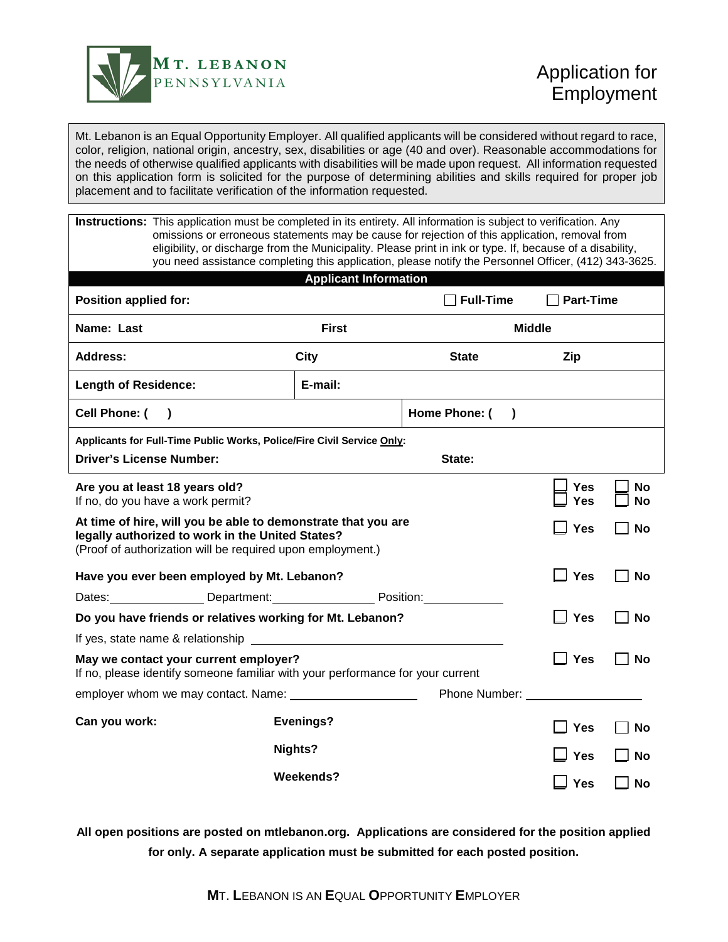

Mt. Lebanon is an Equal Opportunity Employer. All qualified applicants will be considered without regard to race, color, religion, national origin, ancestry, sex, disabilities or age (40 and over). Reasonable accommodations for the needs of otherwise qualified applicants with disabilities will be made upon request. All information requested on this application form is solicited for the purpose of determining abilities and skills required for proper job placement and to facilitate verification of the information requested.

**Instructions:** This application must be completed in its entirety. All information is subject to verification. Any omissions or erroneous statements may be cause for rejection of this application, removal from eligibility, or discharge from the Municipality. Please print in ink or type. If, because of a disability, you need assistance completing this application, please notify the Personnel Officer, (412) 343-3625.

| <b>Applicant Information</b>                                                                                                                                                    |                  |                            |                  |           |  |  |
|---------------------------------------------------------------------------------------------------------------------------------------------------------------------------------|------------------|----------------------------|------------------|-----------|--|--|
| Position applied for:                                                                                                                                                           |                  | <b>Full-Time</b>           | <b>Part-Time</b> |           |  |  |
| Name: Last                                                                                                                                                                      | <b>First</b>     |                            | <b>Middle</b>    |           |  |  |
| Address:                                                                                                                                                                        | <b>City</b>      | <b>State</b>               | Zip              |           |  |  |
| <b>Length of Residence:</b>                                                                                                                                                     | E-mail:          |                            |                  |           |  |  |
| Cell Phone: (<br>$\lambda$                                                                                                                                                      |                  | Home Phone: (<br>$\lambda$ |                  |           |  |  |
| Applicants for Full-Time Public Works, Police/Fire Civil Service Only:                                                                                                          |                  |                            |                  |           |  |  |
| <b>Driver's License Number:</b>                                                                                                                                                 |                  |                            |                  |           |  |  |
| Are you at least 18 years old?<br>If no, do you have a work permit?                                                                                                             | Yes<br>Yes       | <b>No</b><br><b>No</b>     |                  |           |  |  |
| At time of hire, will you be able to demonstrate that you are<br>legally authorized to work in the United States?<br>(Proof of authorization will be required upon employment.) | Yes              | <b>No</b>                  |                  |           |  |  |
| Have you ever been employed by Mt. Lebanon?                                                                                                                                     | <b>Yes</b>       | No                         |                  |           |  |  |
| Dates: Department: Persition: Position:                                                                                                                                         |                  |                            |                  |           |  |  |
| Do you have friends or relatives working for Mt. Lebanon?                                                                                                                       | <b>Yes</b>       | <b>No</b>                  |                  |           |  |  |
| If yes, state name & relationship<br><u> 1989 - Johann Stein, mars an t-Amerikaansk kommunister (</u>                                                                           |                  |                            |                  |           |  |  |
| May we contact your current employer?<br>If no, please identify someone familiar with your performance for your current                                                         | <b>Yes</b>       | <b>No</b>                  |                  |           |  |  |
| employer whom we may contact. Name:                                                                                                                                             |                  |                            |                  |           |  |  |
| Can you work:                                                                                                                                                                   | <b>Evenings?</b> |                            | Yes              | <b>No</b> |  |  |
| Nights?                                                                                                                                                                         |                  |                            | <b>Yes</b>       | <b>No</b> |  |  |
| <b>Weekends?</b>                                                                                                                                                                |                  |                            | Yes              | <b>No</b> |  |  |

**All open positions are posted on mtlebanon.org. Applications are considered for the position applied for only. A separate application must be submitted for each posted position.**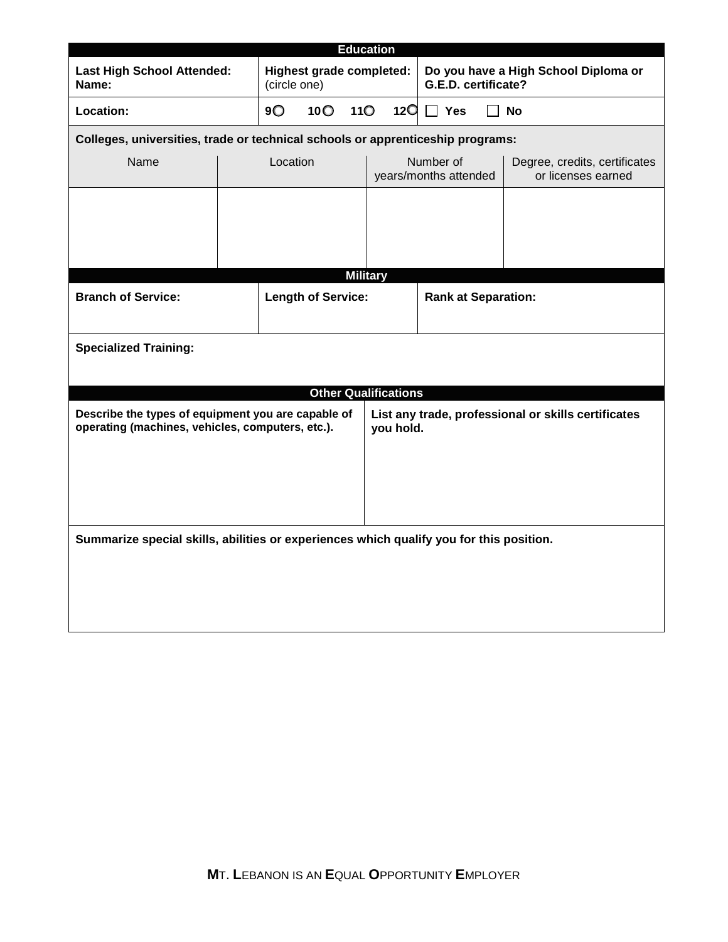| <b>Education</b>                                                                                       |                           |                                                 |                                                                  |                            |                                    |                                      |                                                     |
|--------------------------------------------------------------------------------------------------------|---------------------------|-------------------------------------------------|------------------------------------------------------------------|----------------------------|------------------------------------|--------------------------------------|-----------------------------------------------------|
| <b>Last High School Attended:</b><br>Name:                                                             |                           | <b>Highest grade completed:</b><br>(circle one) |                                                                  |                            | G.E.D. certificate?                | Do you have a High School Diploma or |                                                     |
| Location:                                                                                              |                           | 9O<br>10 <sup>o</sup><br>11 <sup>O</sup>        |                                                                  | 12 <sup>O</sup>            | $\Box$ Yes                         | <b>No</b>                            |                                                     |
| Colleges, universities, trade or technical schools or apprenticeship programs:                         |                           |                                                 |                                                                  |                            |                                    |                                      |                                                     |
| Name                                                                                                   |                           | Location                                        |                                                                  |                            | Number of<br>years/months attended |                                      | Degree, credits, certificates<br>or licenses earned |
|                                                                                                        |                           |                                                 |                                                                  |                            |                                    |                                      |                                                     |
|                                                                                                        |                           |                                                 |                                                                  |                            |                                    |                                      |                                                     |
|                                                                                                        |                           |                                                 |                                                                  |                            |                                    |                                      |                                                     |
|                                                                                                        |                           |                                                 |                                                                  | <b>Military</b>            |                                    |                                      |                                                     |
| <b>Branch of Service:</b>                                                                              | <b>Length of Service:</b> |                                                 |                                                                  | <b>Rank at Separation:</b> |                                    |                                      |                                                     |
| <b>Specialized Training:</b>                                                                           |                           |                                                 |                                                                  |                            |                                    |                                      |                                                     |
|                                                                                                        |                           |                                                 |                                                                  |                            |                                    |                                      |                                                     |
|                                                                                                        |                           |                                                 |                                                                  |                            | <b>Other Qualifications</b>        |                                      |                                                     |
| Describe the types of equipment you are capable of<br>operating (machines, vehicles, computers, etc.). |                           |                                                 | List any trade, professional or skills certificates<br>you hold. |                            |                                    |                                      |                                                     |
|                                                                                                        |                           |                                                 |                                                                  |                            |                                    |                                      |                                                     |
|                                                                                                        |                           |                                                 |                                                                  |                            |                                    |                                      |                                                     |
|                                                                                                        |                           |                                                 |                                                                  |                            |                                    |                                      |                                                     |
| Summarize special skills, abilities or experiences which qualify you for this position.                |                           |                                                 |                                                                  |                            |                                    |                                      |                                                     |
|                                                                                                        |                           |                                                 |                                                                  |                            |                                    |                                      |                                                     |
|                                                                                                        |                           |                                                 |                                                                  |                            |                                    |                                      |                                                     |
|                                                                                                        |                           |                                                 |                                                                  |                            |                                    |                                      |                                                     |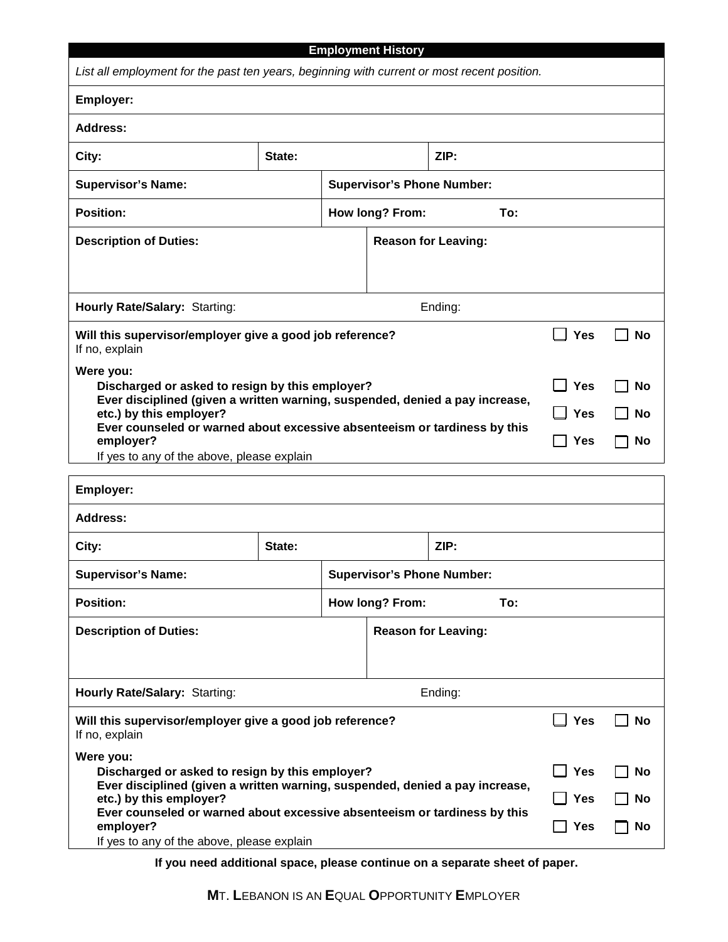| <b>Employment History</b><br>List all employment for the past ten years, beginning with current or most recent position.             |        |  |                                   |            |            |           |  |
|--------------------------------------------------------------------------------------------------------------------------------------|--------|--|-----------------------------------|------------|------------|-----------|--|
| Employer:                                                                                                                            |        |  |                                   |            |            |           |  |
| <b>Address:</b>                                                                                                                      |        |  |                                   |            |            |           |  |
| City:                                                                                                                                | State: |  |                                   | ZIP:       |            |           |  |
| <b>Supervisor's Name:</b>                                                                                                            |        |  | <b>Supervisor's Phone Number:</b> |            |            |           |  |
| <b>Position:</b>                                                                                                                     |        |  | How long? From:                   | To:        |            |           |  |
| <b>Description of Duties:</b>                                                                                                        |        |  | <b>Reason for Leaving:</b>        |            |            |           |  |
| Hourly Rate/Salary: Starting:<br>Ending:                                                                                             |        |  |                                   |            |            |           |  |
| Will this supervisor/employer give a good job reference?<br>If no, explain                                                           |        |  |                                   |            | <b>Yes</b> | <b>No</b> |  |
| Were you:<br>Discharged or asked to resign by this employer?                                                                         |        |  |                                   |            | <b>Yes</b> | <b>No</b> |  |
| Ever disciplined (given a written warning, suspended, denied a pay increase,<br>etc.) by this employer?                              |        |  |                                   |            | <b>Yes</b> | <b>No</b> |  |
| Ever counseled or warned about excessive absenteeism or tardiness by this<br>employer?<br>If yes to any of the above, please explain |        |  |                                   | <b>Yes</b> | <b>No</b>  |           |  |
| Employer:                                                                                                                            |        |  |                                   |            |            |           |  |
| Address:                                                                                                                             |        |  |                                   |            |            |           |  |
| City:                                                                                                                                | State: |  |                                   | ZIP:       |            |           |  |
| <b>Supervisor's Name:</b>                                                                                                            |        |  | <b>Supervisor's Phone Number:</b> |            |            |           |  |
| <b>Position:</b>                                                                                                                     |        |  | How long? From:                   | To:        |            |           |  |
| <b>Description of Duties:</b>                                                                                                        |        |  | <b>Reason for Leaving:</b>        |            |            |           |  |
| Hourly Rate/Salary: Starting:<br>Ending:                                                                                             |        |  |                                   |            |            |           |  |
| Will this supervisor/employer give a good job reference?<br>If no, explain                                                           |        |  |                                   | <b>Yes</b> | <b>No</b>  |           |  |
| Were you:<br><b>Yes</b><br>Discharged or asked to resign by this employer?                                                           |        |  |                                   |            | <b>No</b>  |           |  |
| Ever disciplined (given a written warning, suspended, denied a pay increase,<br>etc.) by this employer?                              |        |  |                                   |            | <b>Yes</b> | <b>No</b> |  |
| Ever counseled or warned about excessive absenteeism or tardiness by this<br>employer?<br>If yes to any of the above, please explain |        |  |                                   | Yes        | No         |           |  |

**If you need additional space, please continue on a separate sheet of paper.**